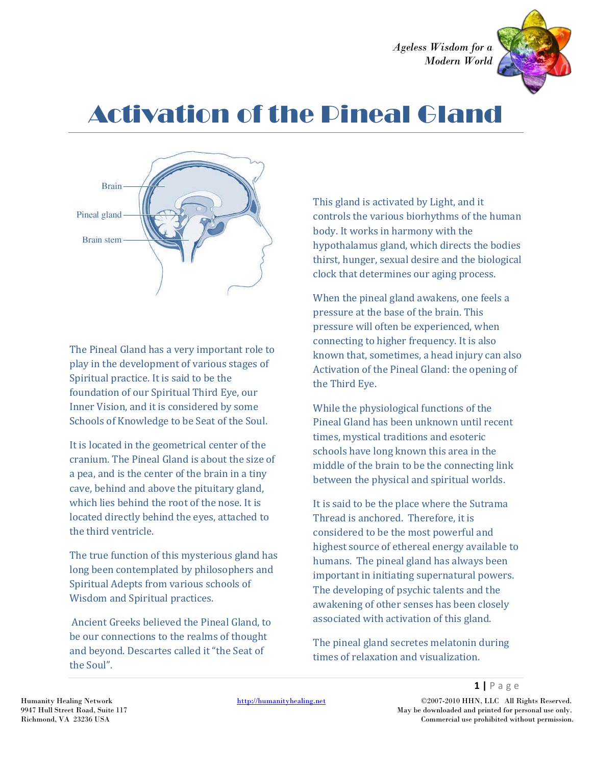

# Activation of the Pineal Gland



The Pineal Gland has a very important role to play in the development of various stages of Spiritual practice. It is said to be the foundation of our Spiritual Third Eye, our Inner Vision, and it is considered by some Schools of Knowledge to be Seat of the Soul.

It is located in the geometrical center of the cranium. The Pineal Gland is about the size of a pea, and is the center of the brain in a tiny cave, behind and above the pituitary gland, which lies behind the root of the nose. It is located directly behind the eyes, attached to the third ventricle.

The true function of this mysterious gland has long been contemplated by philosophers and Spiritual Adepts from various schools of Wisdom and Spiritual practices.

Ancient Greeks believed the Pineal Gland, to be our connections to the realms of thought and beyond. Descartes called it "the Seat of the Soul".

This gland is activated by Light, and it controls the various biorhythms of the human body. It works in harmony with the hypothalamus gland, which directs the bodies thirst, hunger, sexual desire and the biological clock that determines our aging process.

When the pineal gland awakens, one feels a pressure at the base of the brain. This pressure will often be experienced, when connecting to higher frequency. It is also known that, sometimes, a head injury can also Activation of the Pineal Gland: the opening of the Third Eye.

While the physiological functions of the Pineal Gland has been unknown until recent times, mystical traditions and esoteric schools have long known this area in the middle of the brain to be the connecting link between the physical and spiritual worlds.

It is said to be the place where the Sutrama Thread is anchored. Therefore, it is considered to be the most powerful and highest source of ethereal energy available to humans. The pineal gland has always been important in initiating supernatural powers. The developing of psychic talents and the awakening of other senses has been closely associated with activation of this gland.

The pineal gland secretes melatonin during times of relaxation and visualization.

Humanity Healing Network http://humanityhealing.net ©2007-2010 HHN, LLC All Rights Reserved. 9947 Hull Street Road, Suite 117 May be downloaded and printed for personal use only. Richmond, VA 23236 USA Commercial use prohibited without permission.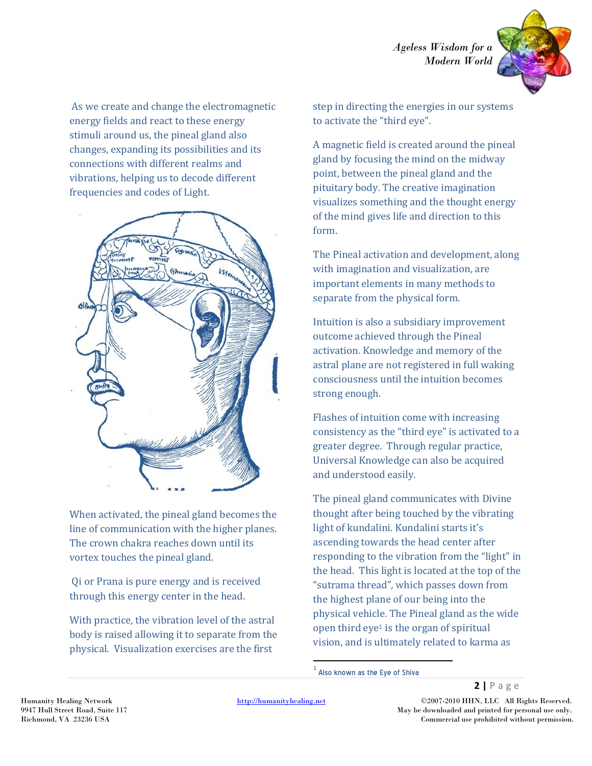

As we create and change the electromagnetic energy fields and react to these energy stimuli around us, the pineal gland also changes, expanding its possibilities and its connections with different realms and vibrations, helping us to decode different frequencies and codes of Light.



When activated, the pineal gland becomes the line of communication with the higher planes. The crown chakra reaches down until its vortex touches the pineal gland.

Qi or Prana is pure energy and is received through this energy center in the head.

With practice, the vibration level of the astral body is raised allowing it to separate from the physical. Visualization exercises are the first

step in directing the energies in our systems to activate the "third eye".

A magnetic field is created around the pineal gland by focusing the mind on the midway point, between the pineal gland and the pituitary body. The creative imagination visualizes something and the thought energy of the mind gives life and direction to this form.

The Pineal activation and development, along with imagination and visualization, are important elements in many methods to separate from the physical form.

Intuition is also a subsidiary improvement outcome achieved through the Pineal activation. Knowledge and memory of the astral plane are not registered in full waking consciousness until the intuition becomes strong enough.

Flashes of intuition come with increasing consistency as the "third eye" is activated to a greater degree. Through regular practice, Universal Knowledge can also be acquired and understood easily.

The pineal gland communicates with Divine thought after being touched by the vibrating light of kundalini. Kundalini starts it's ascending towards the head center after responding to the vibration from the "light" in the head. This light is located at the top of the "sutrama thread", which passes down from the highest plane of our being into the physical vehicle. The Pineal gland as the wide open third eye<sup>1</sup> is the organ of spiritual vision, and is ultimately related to karma as

 $\overline{\phantom{a}}$ 

Humanity Healing Network http://humanityhealing.net ©2007-2010 HHN, LLC All Rights Reserved. 9947 Hull Street Road, Suite 117 May be downloaded and printed for personal use only. Richmond, VA 23236 USA Commercial use prohibited without permission.

 $^{\rm 1}$  Also known as the Eye of Shiva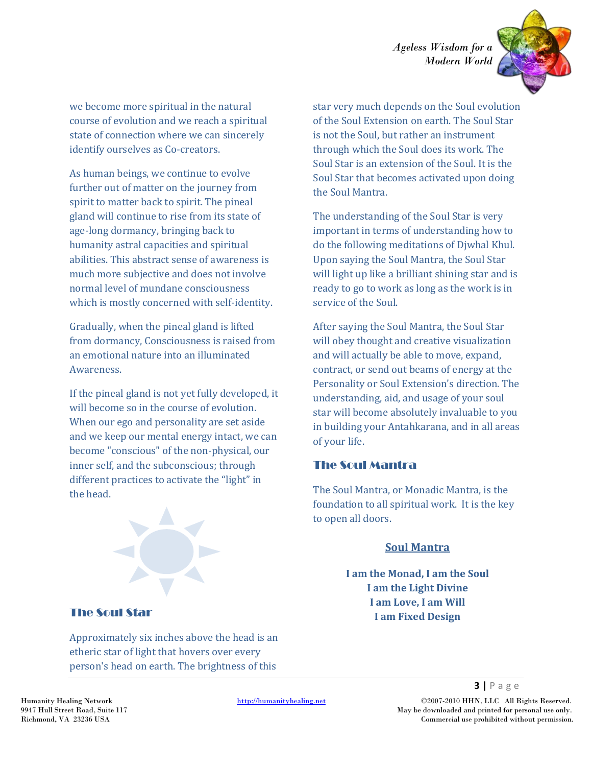

we become more spiritual in the natural course of evolution and we reach a spiritual state of connection where we can sincerely identify ourselves as Co-creators.

As human beings, we continue to evolve further out of matter on the journey from spirit to matter back to spirit. The pineal gland will continue to rise from its state of age-long dormancy, bringing back to humanity astral capacities and spiritual abilities. This abstract sense of awareness is much more subjective and does not involve normal level of mundane consciousness which is mostly concerned with self-identity.

Gradually, when the pineal gland is lifted from dormancy, Consciousness is raised from an emotional nature into an illuminated Awareness.

If the pineal gland is not yet fully developed, it will become so in the course of evolution. When our ego and personality are set aside and we keep our mental energy intact, we can become "conscious" of the non-physical, our inner self, and the subconscious; through different practices to activate the "light" in the head.



star very much depends on the Soul evolution of the Soul Extension on earth. The Soul Star is not the Soul, but rather an instrument through which the Soul does its work. The Soul Star is an extension of the Soul. It is the Soul Star that becomes activated upon doing the Soul Mantra.

The understanding of the Soul Star is very important in terms of understanding how to do the following meditations of Djwhal Khul. Upon saying the Soul Mantra, the Soul Star will light up like a brilliant shining star and is ready to go to work as long as the work is in service of the Soul.

After saying the Soul Mantra, the Soul Star will obey thought and creative visualization and will actually be able to move, expand, contract, or send out beams of energy at the Personality or Soul Extension's direction. The understanding, aid, and usage of your soul star will become absolutely invaluable to you in building your Antahkarana, and in all areas of your life.

#### The Soul Mantra

The Soul Mantra, or Monadic Mantra, is the foundation to all spiritual work. It is the key to open all doors.

#### **Soul Mantra**

**I am the Monad, I am the Soul I am the Light Divine I am Love, I am Will I am Fixed Design**

### The Soul Star

Approximately six inches above the head is an etheric star of light that hovers over every person's head on earth. The brightness of this

Humanity Healing Network http://humanityhealing.net ©2007-2010 HHN, LLC All Rights Reserved. 9947 Hull Street Road, Suite 117 May be downloaded and printed for personal use only. Richmond, VA 23236 USA Commercial use prohibited without permission.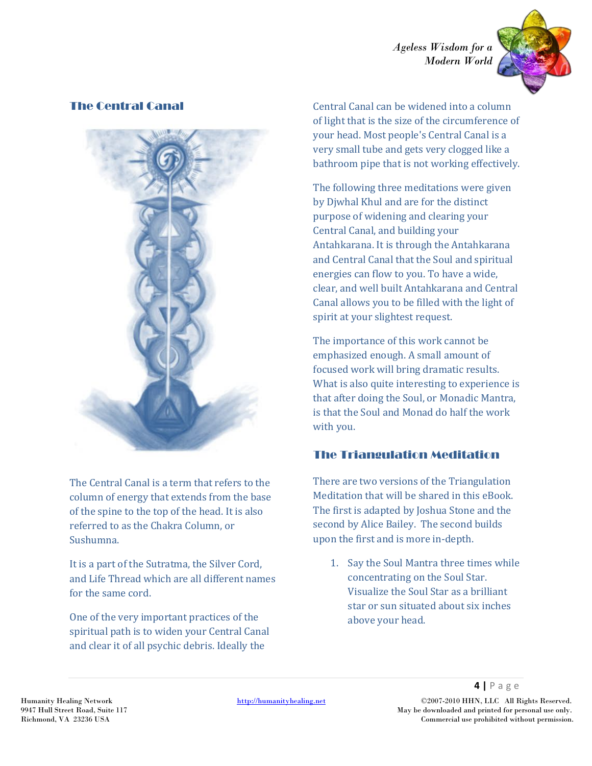

## The Central Canal



The Central Canal is a term that refers to the column of energy that extends from the base of the spine to the top of the head. It is also referred to as the Chakra Column, or Sushumna.

It is a part of the Sutratma, the Silver Cord, and Life Thread which are all different names for the same cord.

One of the very important practices of the spiritual path is to widen your Central Canal and clear it of all psychic debris. Ideally the

Central Canal can be widened into a column of light that is the size of the circumference of your head. Most people's Central Canal is a very small tube and gets very clogged like a bathroom pipe that is not working effectively.

The following three meditations were given by Djwhal Khul and are for the distinct purpose of widening and clearing your Central Canal, and building your Antahkarana. It is through the Antahkarana and Central Canal that the Soul and spiritual energies can flow to you. To have a wide, clear, and well built Antahkarana and Central Canal allows you to be filled with the light of spirit at your slightest request.

The importance of this work cannot be emphasized enough. A small amount of focused work will bring dramatic results. What is also quite interesting to experience is that after doing the Soul, or Monadic Mantra, is that the Soul and Monad do half the work with you.

# The Triangulation Meditation

There are two versions of the Triangulation Meditation that will be shared in this eBook. The first is adapted by Joshua Stone and the second by Alice Bailey. The second builds upon the first and is more in-depth.

1. Say the Soul Mantra three times while concentrating on the Soul Star. Visualize the Soul Star as a brilliant star or sun situated about six inches above your head.

Humanity Healing Network http://humanityhealing.net ©2007-2010 HHN, LLC All Rights Reserved. 9947 Hull Street Road, Suite 117 May be downloaded and printed for personal use only. Richmond, VA 23236 USA Commercial use prohibited without permission.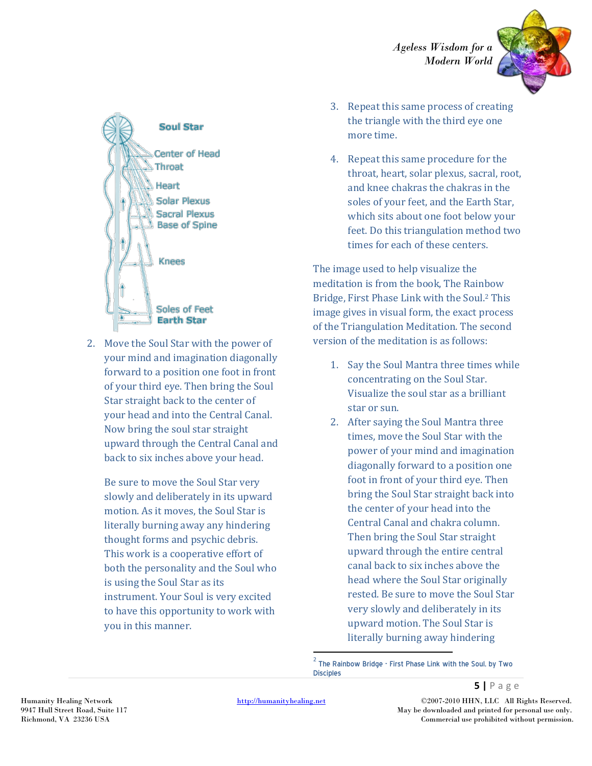



2. Move the Soul Star with the power of your mind and imagination diagonally forward to a position one foot in front of your third eye. Then bring the Soul Star straight back to the center of your head and into the Central Canal. Now bring the soul star straight upward through the Central Canal and back to six inches above your head.

Be sure to move the Soul Star very slowly and deliberately in its upward motion. As it moves, the Soul Star is literally burning away any hindering thought forms and psychic debris. This work is a cooperative effort of both the personality and the Soul who is using the Soul Star as its instrument. Your Soul is very excited to have this opportunity to work with you in this manner.

- 3. Repeat this same process of creating the triangle with the third eye one more time.
- 4. Repeat this same procedure for the throat, heart, solar plexus, sacral, root, and knee chakras the chakras in the soles of your feet, and the Earth Star, which sits about one foot below your feet. Do this triangulation method two times for each of these centers.

The image used to help visualize the meditation is from the book, The Rainbow Bridge, First Phase Link with the Soul.<sup>2</sup> This image gives in visual form, the exact process of the Triangulation Meditation. The second version of the meditation is as follows:

- 1. Say the Soul Mantra three times while concentrating on the Soul Star. Visualize the soul star as a brilliant star or sun.
- 2. After saying the Soul Mantra three times, move the Soul Star with the power of your mind and imagination diagonally forward to a position one foot in front of your third eye. Then bring the Soul Star straight back into the center of your head into the Central Canal and chakra column. Then bring the Soul Star straight upward through the entire central canal back to six inches above the head where the Soul Star originally rested. Be sure to move the Soul Star very slowly and deliberately in its upward motion. The Soul Star is literally burning away hindering

2 The Rainbow Bridge - First Phase Link with the Soul, by Two **Disciples** 

 $\overline{\phantom{a}}$ 

Humanity Healing Network http://humanityhealing.net ©2007-2010 HHN, LLC All Rights Reserved. 9947 Hull Street Road, Suite 117 May be downloaded and printed for personal use only. Richmond, VA 23236 USA Commercial use prohibited without permission.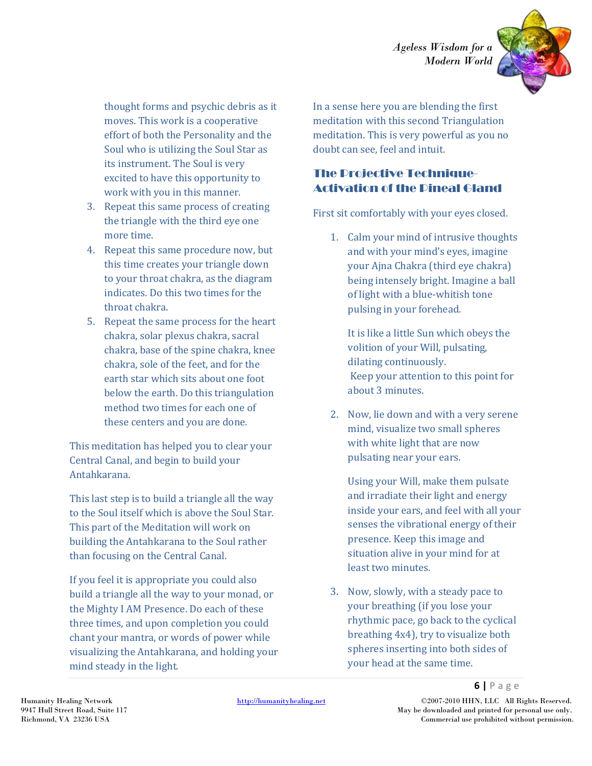

thought forms and psychic debris as it moves. This work is a cooperative effort of both the Personality and the Soul who is utilizing the Soul Star as its instrument. The Soul is very excited to have this opportunity to work with you in this manner.

- 3. Repeat this same process of creating the triangle with the third eye one more time.
- 4. Repeat this same procedure now, but this time creates your triangle down to your throat chakra, as the diagram indicates. Do this two times for the throat chakra.
- 5. Repeat the same process for the heart chakra, solar plexus chakra, sacral chakra, base of the spine chakra, knee chakra, sole of the feet, and for the earth star which sits about one foot below the earth. Do this triangulation method two times for each one of these centers and you are done.

This meditation has helped you to clear your Central Canal, and begin to build your Antahkarana.

This last step is to build a triangle all the way to the Soul itself which is above the Soul Star. This part of the Meditation will work on building the Antahkarana to the Soul rather than focusing on the Central Canal.

If you feel it is appropriate you could also build a triangle all the way to your monad, or the Mighty I AM Presence. Do each of these three times, and upon completion you could chant your mantra, or words of power while visualizing the Antahkarana, and holding your mind steady in the light.

In a sense here you are blending the first meditation with this second Triangulation meditation. This is very powerful as you no doubt can see, feel and intuit.

# The Projective Technique-Activation of the Pineal Gland

First sit comfortably with your eyes closed.

1. Calm your mind of intrusive thoughts and with your mind's eyes, imagine your Ajna Chakra (third eye chakra) being intensely bright. Imagine a ball of light with a blue-whitish tone pulsing in your forehead.

It is like a little Sun which obeys the volition of your Will, pulsating, dilating continuously. Keep your attention to this point for about 3 minutes.

2. Now, lie down and with a very serene mind, visualize two small spheres with white light that are now pulsating near your ears.

Using your Will, make them pulsate and irradiate their light and energy inside your ears, and feel with all your senses the vibrational energy of their presence. Keep this image and situation alive in your mind for at least two minutes.

3. Now, slowly, with a steady pace to your breathing (if you lose your rhythmic pace, go back to the cyclical breathing 4x4), try to visualize both spheres inserting into both sides of your head at the same time.

Humanity Healing Network http://humanityhealing.net ©2007-2010 HHN, LLC All Rights Reserved. 9947 Hull Street Road, Suite 117 May be downloaded and printed for personal use only. Richmond, VA 23236 USA Commercial use prohibited without permission.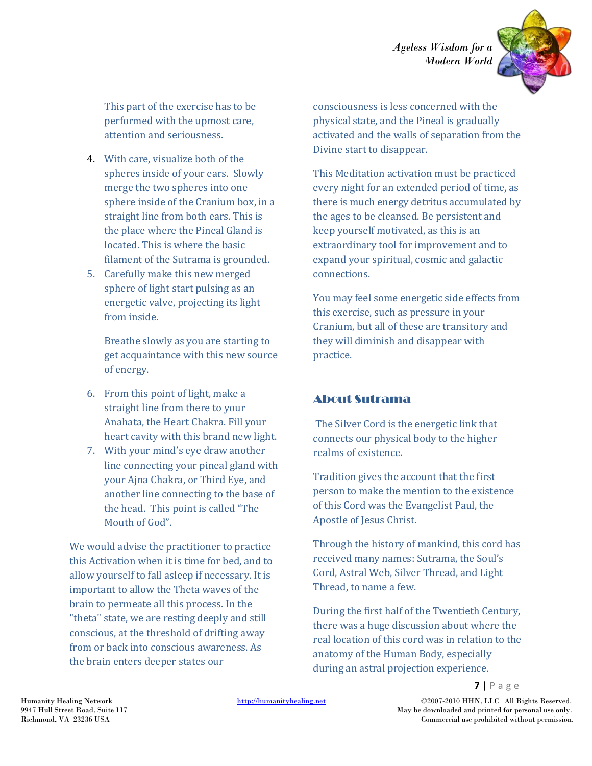

This part of the exercise has to be performed with the upmost care, attention and seriousness.

- 4. With care, visualize both of the spheres inside of your ears. Slowly merge the two spheres into one sphere inside of the Cranium box, in a straight line from both ears. This is the place where the Pineal Gland is located. This is where the basic filament of the Sutrama is grounded.
- 5. Carefully make this new merged sphere of light start pulsing as an energetic valve, projecting its light from inside.

Breathe slowly as you are starting to get acquaintance with this new source of energy.

- 6. From this point of light, make a straight line from there to your Anahata, the Heart Chakra. Fill your heart cavity with this brand new light.
- 7. With your mind's eye draw another line connecting your pineal gland with your Ajna Chakra, or Third Eye, and another line connecting to the base of the head. This point is called "The Mouth of God".

We would advise the practitioner to practice this Activation when it is time for bed, and to allow yourself to fall asleep if necessary. It is important to allow the Theta waves of the brain to permeate all this process. In the "theta" state, we are resting deeply and still conscious, at the threshold of drifting away from or back into conscious awareness. As the brain enters deeper states our

consciousness is less concerned with the physical state, and the Pineal is gradually activated and the walls of separation from the Divine start to disappear.

This Meditation activation must be practiced every night for an extended period of time, as there is much energy detritus accumulated by the ages to be cleansed. Be persistent and keep yourself motivated, as this is an extraordinary tool for improvement and to expand your spiritual, cosmic and galactic connections.

You may feel some energetic side effects from this exercise, such as pressure in your Cranium, but all of these are transitory and they will diminish and disappear with practice.

### About Sutrama

The Silver Cord is the energetic link that connects our physical body to the higher realms of existence.

Tradition gives the account that the first person to make the mention to the existence of this Cord was the Evangelist Paul, the Apostle of Jesus Christ.

Through the history of mankind, this cord has received many names: Sutrama, the Soul's Cord, Astral Web, Silver Thread, and Light Thread, to name a few.

During the first half of the Twentieth Century, there was a huge discussion about where the real location of this cord was in relation to the anatomy of the Human Body, especially during an astral projection experience.

Humanity Healing Network http://humanityhealing.net ©2007-2010 HHN, LLC All Rights Reserved. 9947 Hull Street Road, Suite 117 May be downloaded and printed for personal use only. Richmond, VA 23236 USA Commercial use prohibited without permission.